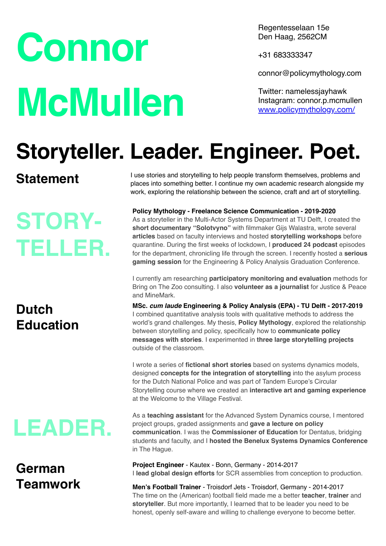# **Connor McMullen**

Regentesselaan 15e Den Haag, 2562CM

+31 683333347

connor@policymythology.com

Twitter: namelessjayhawk Instagram: connor.p.mcmullen [www.policymythology.com/](https://www.policymythology.com/)

# **Storyteller. Leader. Engineer. Poet.**

### **Statement**

**STORY-TELLER.**

# **Dutch Education**

# **LEADER.**

### **German Teamwork**

I use stories and storytelling to help people transform themselves, problems and places into something better. I continue my own academic research alongside my work, exploring the relationship between the science, craft and art of storytelling.

**Policy Mythology - Freelance Science Communication - 2019-2020**

As a storyteller in the Multi-Actor Systems Department at TU Delft, I created the **short documentary "Solotvyno"** with filmmaker Gijs Walastra, wrote several **articles** based on faculty interviews and hosted **storytelling workshops** before quarantine. During the first weeks of lockdown, I **produced 24 podcast** episodes for the department, chronicling life through the screen. I recently hosted a **serious gaming session** for the Engineering & Policy Analysis Graduation Conference.

I currently am researching **participatory monitoring and evaluation** methods for Bring on The Zoo consulting. I also **volunteer as a journalist** for Justice & Peace and MineMark.

**MSc.** *cum laude* **Engineering & Policy Analysis (EPA) - TU Delft - 2017-2019** I combined quantitative analysis tools with qualitative methods to address the world's grand challenges. My thesis, **Policy Mythology**, explored the relationship between storytelling and policy, specifically how to **communicate policy messages with stories**. I experimented in **three large storytelling projects**  outside of the classroom.

I wrote a series of **fictional short stories** based on systems dynamics models, designed **concepts for the integration of storytelling** into the asylum process for the Dutch National Police and was part of Tandem Europe's Circular Storytelling course where we created an **interactive art and gaming experience** at the Welcome to the Village Festival.

As a **teaching assistant** for the Advanced System Dynamics course, I mentored project groups, graded assignments and **gave a lecture on policy communication**. I was the **Commissioner of Education** for Dentatus, bridging students and faculty, and I **hosted the Benelux Systems Dynamics Conference** in The Hague.

**Project Engineer** - Kautex - Bonn, Germany - 2014-2017 I **lead global design efforts** for SCR assemblies from conception to production.

**Men's Football Trainer** - Troisdorf Jets - Troisdorf, Germany - 2014-2017 The time on the (American) football field made me a better **teacher**, **trainer** and **storyteller**. But more importantly, I learned that to be leader you need to be honest, openly self-aware and willing to challenge everyone to become better.